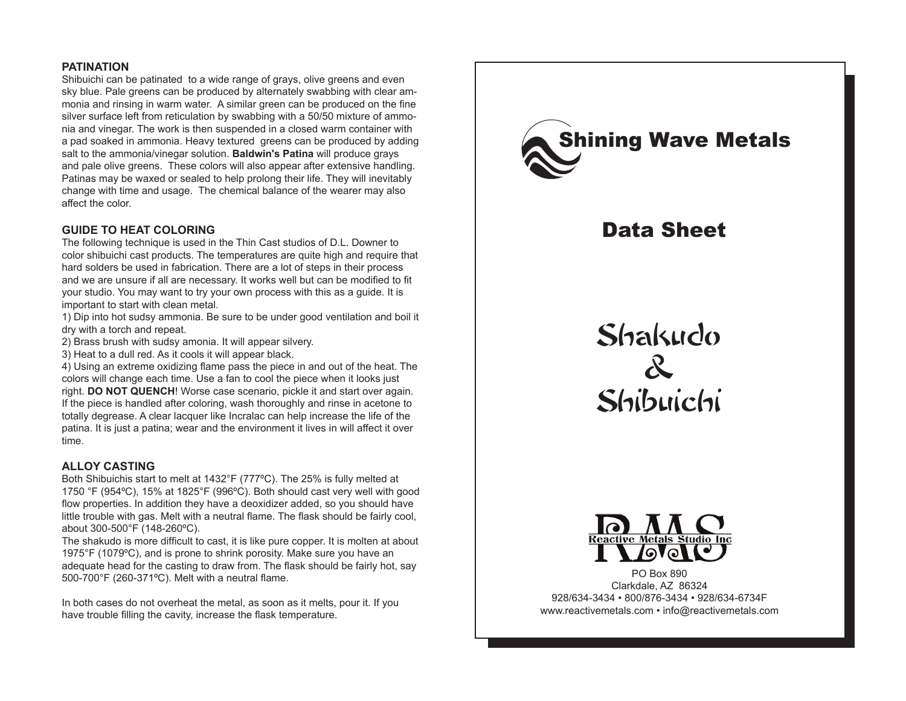# **PATINATION**

Shibuichi can be patinated to a wide range of grays, olive greens and even sky blue. Pale greens can be produced by alternately swabbing with clear ammonia and rinsing in warm water. A similar green can be produced on the fine silver surface left from reticulation by swabbing with a 50/50 mixture of ammonia and vinegar. The work is then suspended in a closed warm container with a pad soaked in ammonia. Heavy textured greens can be produced by adding salt to the ammonia/vinegar solution. **Baldwin's Patina** will produce grays and pale olive greens. These colors will also appear after extensive handling. Patinas may be waxed or sealed to help prolong their life. They will inevitably change with time and usage. The chemical balance of the wearer may also affect the color.

# **GUIDE TO HEAT COLORING**

The following technique is used in the Thin Cast studios of D.L. Downer to color shibuichi cast products. The temperatures are quite high and require that hard solders be used in fabrication. There are a lot of steps in their process and we are unsure if all are necessary. It works well but can be modified to fit your studio. You may want to try your own process with this as a guide. It is important to start with clean metal.

1) Dip into hot sudsy ammonia. Be sure to be under good ventilation and boil it dry with a torch and repeat.

2) Brass brush with sudsy amonia. It will appear silvery.

3) Heat to a dull red. As it cools it will appear black.

4) Using an extreme oxidizing flame pass the piece in and out of the heat. The colors will change each time. Use a fan to cool the piece when it looks just right. **DO NOT QUENCH**! Worse case scenario, pickle it and start over again. If the piece is handled after coloring, wash thoroughly and rinse in acetone to totally degrease. A clear lacquer like Incralac can help increase the life of the patina. It is just a patina; wear and the environment it lives in will affect it over time.

#### **ALLOY CASTING**

Both Shibuichis start to melt at 1432°F (777ºC). The 25% is fully melted at 1750 °F (954ºC), 15% at 1825°F (996ºC). Both should cast very well with good flow properties. In addition they have a deoxidizer added, so you should have little trouble with gas. Melt with a neutral flame. The flask should be fairly cool, about 300-500°F (148-260ºC).

The shakudo is more difficult to cast, it is like pure copper. It is molten at about 1975°F (1079ºC), and is prone to shrink porosity. Make sure you have an adequate head for the casting to draw from. The flask should be fairly hot, say 500-700°F (260-371ºC). Melt with a neutral flame.

In both cases do not overheat the metal, as soon as it melts, pour it. If you have trouble filling the cavity, increase the flask temperature.